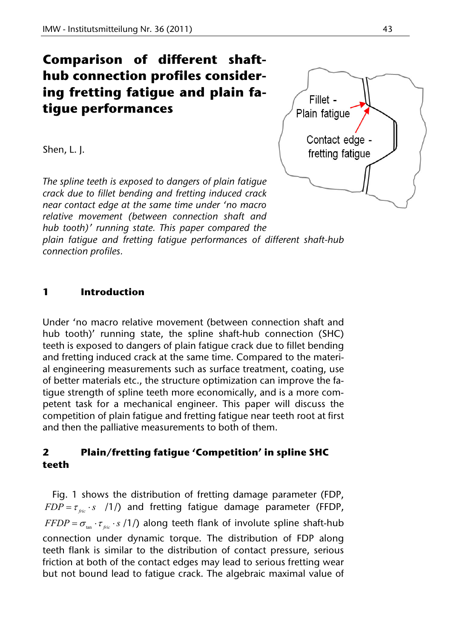# **Comparison of different shafthub connection profiles considering fretting fatigue and plain fatigue performances**

Shen, L. J.

*The spline teeth is exposed to dangers of plain fatigue crack due to fillet bending and fretting induced crack near contact edge at the same time under 'no macro relative movement (between connection shaft and hub tooth)' running state. This paper compared the plain fatigue and fretting fatigue performances of different shaft-hub* 

*connection profiles.* 

### **1 Introduction**

Under 'no macro relative movement (between connection shaft and hub tooth)' running state, the spline shaft-hub connection (SHC) teeth is exposed to dangers of plain fatigue crack due to fillet bending and fretting induced crack at the same time. Compared to the material engineering measurements such as surface treatment, coating, use of better materials etc., the structure optimization can improve the fatigue strength of spline teeth more economically, and is a more competent task for a mechanical engineer. This paper will discuss the competition of plain fatigue and fretting fatigue near teeth root at first and then the palliative measurements to both of them.

### **2 Plain/fretting fatigue 'Competition' in spline SHC teeth**

Fig. 1 shows the distribution of fretting damage parameter (FDP,  $FDP = \tau_{\text{fric}} \cdot s$  /1/) and fretting fatigue damage parameter (FFDP,  $FFDP = \sigma_{\text{tan}} \cdot \tau_{\text{fric}} \cdot s$  /1/) along teeth flank of involute spline shaft-hub connection under dynamic torque. The distribution of FDP along teeth flank is similar to the distribution of contact pressure, serious friction at both of the contact edges may lead to serious fretting wear but not bound lead to fatigue crack. The algebraic maximal value of

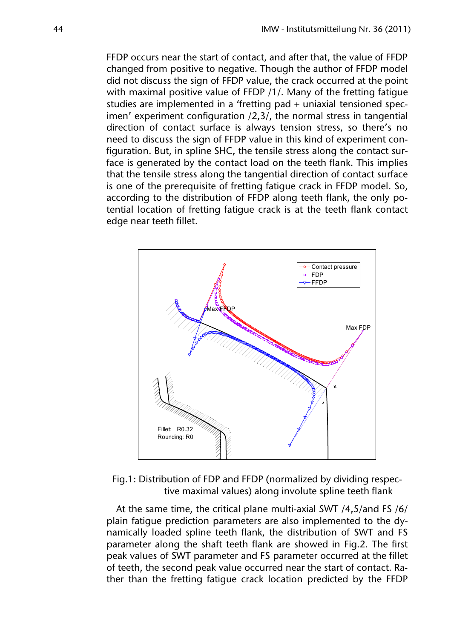FFDP occurs near the start of contact, and after that, the value of FFDP changed from positive to negative. Though the author of FFDP model did not discuss the sign of FFDP value, the crack occurred at the point with maximal positive value of FFDP /1/. Many of the fretting fatigue studies are implemented in a 'fretting pad + uniaxial tensioned specimen' experiment configuration /2,3/, the normal stress in tangential direction of contact surface is always tension stress, so there's no need to discuss the sign of FFDP value in this kind of experiment configuration. But, in spline SHC, the tensile stress along the contact surface is generated by the contact load on the teeth flank. This implies that the tensile stress along the tangential direction of contact surface is one of the prerequisite of fretting fatigue crack in FFDP model. So, according to the distribution of FFDP along teeth flank, the only potential location of fretting fatigue crack is at the teeth flank contact edge near teeth fillet.



Fig.1: Distribution of FDP and FFDP (normalized by dividing respective maximal values) along involute spline teeth flank

At the same time, the critical plane multi-axial SWT /4,5/and FS /6/ plain fatigue prediction parameters are also implemented to the dynamically loaded spline teeth flank, the distribution of SWT and FS parameter along the shaft teeth flank are showed in Fig.2. The first peak values of SWT parameter and FS parameter occurred at the fillet of teeth, the second peak value occurred near the start of contact. Rather than the fretting fatigue crack location predicted by the FFDP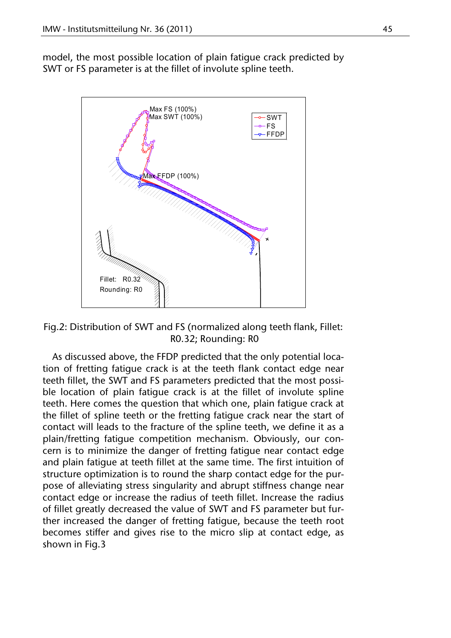model, the most possible location of plain fatigue crack predicted by SWT or FS parameter is at the fillet of involute spline teeth.



Fig.2: Distribution of SWT and FS (normalized along teeth flank, Fillet: R0.32; Rounding: R0

As discussed above, the FFDP predicted that the only potential location of fretting fatigue crack is at the teeth flank contact edge near teeth fillet, the SWT and FS parameters predicted that the most possible location of plain fatigue crack is at the fillet of involute spline teeth. Here comes the question that which one, plain fatigue crack at the fillet of spline teeth or the fretting fatigue crack near the start of contact will leads to the fracture of the spline teeth, we define it as a plain/fretting fatigue competition mechanism. Obviously, our concern is to minimize the danger of fretting fatigue near contact edge and plain fatigue at teeth fillet at the same time. The first intuition of structure optimization is to round the sharp contact edge for the purpose of alleviating stress singularity and abrupt stiffness change near contact edge or increase the radius of teeth fillet. Increase the radius of fillet greatly decreased the value of SWT and FS parameter but further increased the danger of fretting fatigue, because the teeth root becomes stiffer and gives rise to the micro slip at contact edge, as shown in Fig.3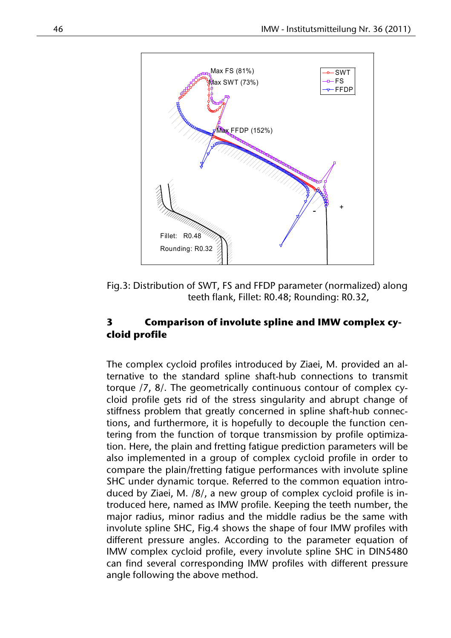

Fig.3: Distribution of SWT, FS and FFDP parameter (normalized) along teeth flank, Fillet: R0.48; Rounding: R0.32,

## **3 Comparison of involute spline and IMW complex cycloid profile**

The complex cycloid profiles introduced by Ziaei, M. provided an alternative to the standard spline shaft-hub connections to transmit torque /7, 8/. The geometrically continuous contour of complex cycloid profile gets rid of the stress singularity and abrupt change of stiffness problem that greatly concerned in spline shaft-hub connections, and furthermore, it is hopefully to decouple the function centering from the function of torque transmission by profile optimization. Here, the plain and fretting fatigue prediction parameters will be also implemented in a group of complex cycloid profile in order to compare the plain/fretting fatigue performances with involute spline SHC under dynamic torque. Referred to the common equation introduced by Ziaei, M. /8/, a new group of complex cycloid profile is introduced here, named as IMW profile. Keeping the teeth number, the major radius, minor radius and the middle radius be the same with involute spline SHC, Fig.4 shows the shape of four IMW profiles with different pressure angles. According to the parameter equation of IMW complex cycloid profile, every involute spline SHC in DIN5480 can find several corresponding IMW profiles with different pressure angle following the above method.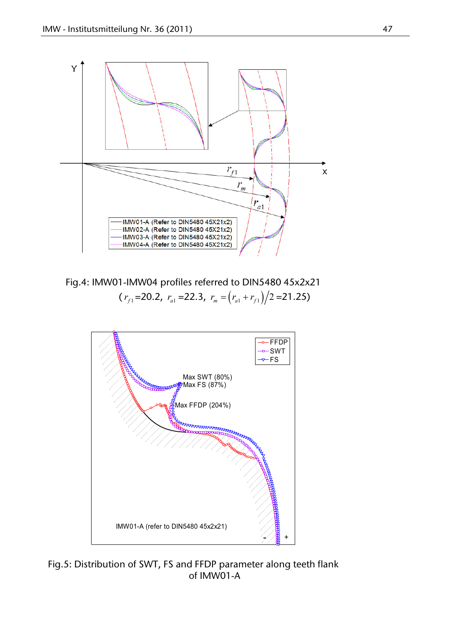

Fig.4: IMW01-IMW04 profiles referred to DIN5480 45x2x21  $(r_{f1} = 20.2, r_{a1} = 22.3, r_m = (r_{a1} + r_{f1})/2 = 21.25)$ 



Fig.5: Distribution of SWT, FS and FFDP parameter along teeth flank of IMW01-A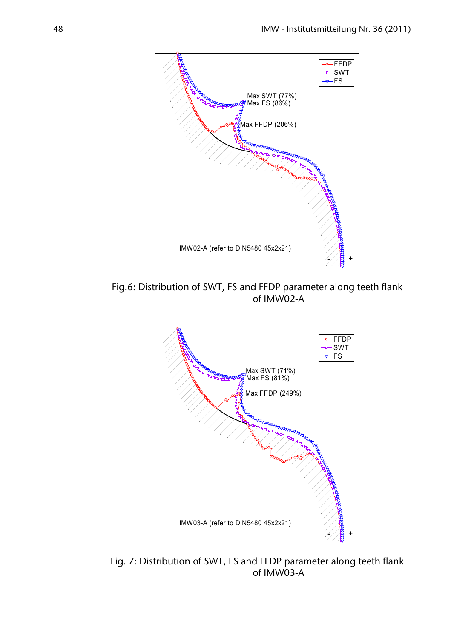

Fig.6: Distribution of SWT, FS and FFDP parameter along teeth flank of IMW02-A



Fig. 7: Distribution of SWT, FS and FFDP parameter along teeth flank of IMW03-A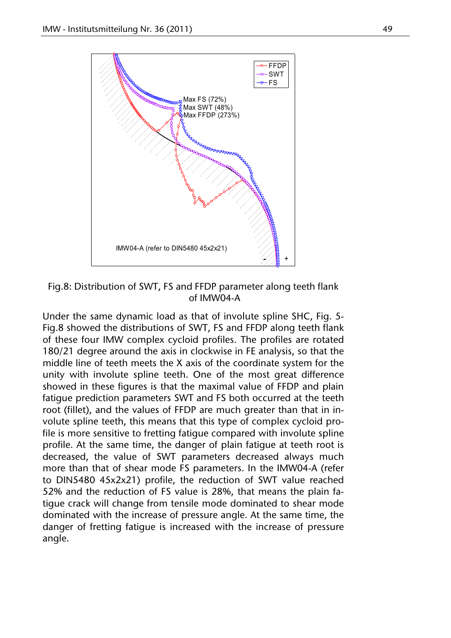

Fig.8: Distribution of SWT, FS and FFDP parameter along teeth flank of IMW04-A

Under the same dynamic load as that of involute spline SHC, Fig. 5- Fig.8 showed the distributions of SWT, FS and FFDP along teeth flank of these four IMW complex cycloid profiles. The profiles are rotated 180/21 degree around the axis in clockwise in FE analysis, so that the middle line of teeth meets the X axis of the coordinate system for the unity with involute spline teeth. One of the most great difference showed in these figures is that the maximal value of FFDP and plain fatigue prediction parameters SWT and FS both occurred at the teeth root (fillet), and the values of FFDP are much greater than that in involute spline teeth, this means that this type of complex cycloid profile is more sensitive to fretting fatigue compared with involute spline profile. At the same time, the danger of plain fatigue at teeth root is decreased, the value of SWT parameters decreased always much more than that of shear mode FS parameters. In the IMW04-A (refer to DIN5480 45x2x21) profile, the reduction of SWT value reached 52% and the reduction of FS value is 28%, that means the plain fatigue crack will change from tensile mode dominated to shear mode dominated with the increase of pressure angle. At the same time, the danger of fretting fatigue is increased with the increase of pressure angle.